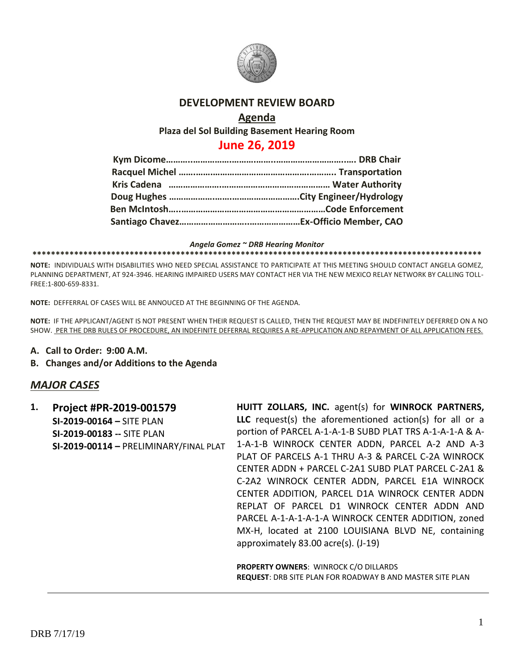

## **DEVELOPMENT REVIEW BOARD**

#### **Agenda**

**Plaza del Sol Building Basement Hearing Room**

# **June 26, 2019**

#### *Angela Gomez ~ DRB Hearing Monitor*

**\*\*\*\*\*\*\*\*\*\*\*\*\*\*\*\*\*\*\*\*\*\*\*\*\*\*\*\*\*\*\*\*\*\*\*\*\*\*\*\*\*\*\*\*\*\*\*\*\*\*\*\*\*\*\*\*\*\*\*\*\*\*\*\*\*\*\*\*\*\*\*\*\*\*\*\*\*\*\*\*\*\*\*\*\*\*\*\*\*\*\*\*\*\*\*\*\***

**NOTE:** INDIVIDUALS WITH DISABILITIES WHO NEED SPECIAL ASSISTANCE TO PARTICIPATE AT THIS MEETING SHOULD CONTACT ANGELA GOMEZ, PLANNING DEPARTMENT, AT 924-3946. HEARING IMPAIRED USERS MAY CONTACT HER VIA THE NEW MEXICO RELAY NETWORK BY CALLING TOLL-FREE:1-800-659-8331.

**NOTE:** DEFFERRAL OF CASES WILL BE ANNOUCED AT THE BEGINNING OF THE AGENDA.

**NOTE:** IF THE APPLICANT/AGENT IS NOT PRESENT WHEN THEIR REQUEST IS CALLED, THEN THE REQUEST MAY BE INDEFINITELY DEFERRED ON A NO SHOW. PER THE DRB RULES OF PROCEDURE, AN INDEFINITE DEFERRAL REQUIRES A RE-APPLICATION AND REPAYMENT OF ALL APPLICATION FEES.

- **A. Call to Order: 9:00 A.M.**
- **B. Changes and/or Additions to the Agenda**

### *MAJOR CASES*

**1. Project #PR-2019-001579 SI-2019-00164 –** SITE PLAN **SI-2019-00183 --** SITE PLAN **SI-2019-00114 –** PRELIMINARY/FINAL PLAT **HUITT ZOLLARS, INC.** agent(s) for **WINROCK PARTNERS, LLC** request(s) the aforementioned action(s) for all or a portion of PARCEL A-1-A-1-B SUBD PLAT TRS A-1-A-1-A & A-1-A-1-B WINROCK CENTER ADDN, PARCEL A-2 AND A-3 PLAT OF PARCELS A-1 THRU A-3 & PARCEL C-2A WINROCK CENTER ADDN + PARCEL C-2A1 SUBD PLAT PARCEL C-2A1 & C-2A2 WINROCK CENTER ADDN, PARCEL E1A WINROCK CENTER ADDITION, PARCEL D1A WINROCK CENTER ADDN REPLAT OF PARCEL D1 WINROCK CENTER ADDN AND PARCEL A-1-A-1-A-1-A WINROCK CENTER ADDITION, zoned MX-H, located at 2100 LOUISIANA BLVD NE, containing approximately 83.00 acre(s). (J-19)

**PROPERTY OWNERS**: WINROCK C/O DILLARDS **REQUEST**: DRB SITE PLAN FOR ROADWAY B AND MASTER SITE PLAN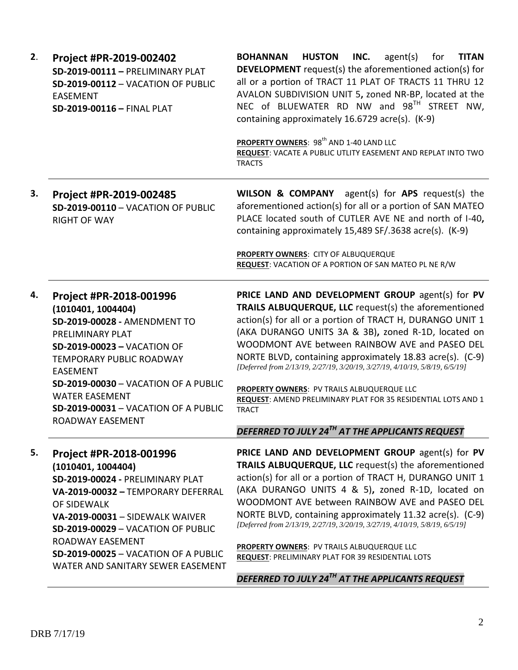| 2. | Project #PR-2019-002402<br>SD-2019-00111 - PRELIMINARY PLAT<br>SD-2019-00112 - VACATION OF PUBLIC<br><b>EASEMENT</b><br>SD-2019-00116 - FINAL PLAT                                                                                                                                                                                | <b>BOHANNAN</b><br><b>HUSTON</b><br>INC.<br>agent(s)<br><b>TITAN</b><br>for<br><b>DEVELOPMENT</b> request(s) the aforementioned action(s) for<br>all or a portion of TRACT 11 PLAT OF TRACTS 11 THRU 12<br>AVALON SUBDIVISION UNIT 5, zoned NR-BP, located at the<br>NEC of BLUEWATER RD NW and 98TH STREET NW,<br>containing approximately 16.6729 acre(s). (K-9)                                                                                                                                                                                                                                            |
|----|-----------------------------------------------------------------------------------------------------------------------------------------------------------------------------------------------------------------------------------------------------------------------------------------------------------------------------------|---------------------------------------------------------------------------------------------------------------------------------------------------------------------------------------------------------------------------------------------------------------------------------------------------------------------------------------------------------------------------------------------------------------------------------------------------------------------------------------------------------------------------------------------------------------------------------------------------------------|
|    |                                                                                                                                                                                                                                                                                                                                   | PROPERTY OWNERS: 98 <sup>th</sup> AND 1-40 LAND LLC<br>REQUEST: VACATE A PUBLIC UTLITY EASEMENT AND REPLAT INTO TWO<br><b>TRACTS</b>                                                                                                                                                                                                                                                                                                                                                                                                                                                                          |
| 3. | Project #PR-2019-002485<br>SD-2019-00110 - VACATION OF PUBLIC<br><b>RIGHT OF WAY</b>                                                                                                                                                                                                                                              | <b>WILSON &amp; COMPANY</b> agent(s) for APS request(s) the<br>aforementioned action(s) for all or a portion of SAN MATEO<br>PLACE located south of CUTLER AVE NE and north of I-40,<br>containing approximately 15,489 SF/.3638 acre(s). (K-9)<br>PROPERTY OWNERS: CITY OF ALBUQUERQUE<br><b>REQUEST: VACATION OF A PORTION OF SAN MATEO PL NE R/W</b>                                                                                                                                                                                                                                                       |
| 4. | Project #PR-2018-001996<br>(1010401, 1004404)<br>SD-2019-00028 - AMENDMENT TO<br>PRELIMINARY PLAT<br><b>SD-2019-00023 - VACATION OF</b><br><b>TEMPORARY PUBLIC ROADWAY</b><br><b>EASEMENT</b><br>SD-2019-00030 - VACATION OF A PUBLIC<br><b>WATER EASEMENT</b><br><b>SD-2019-00031 - VACATION OF A PUBLIC</b><br>ROADWAY EASEMENT | PRICE LAND AND DEVELOPMENT GROUP agent(s) for PV<br>TRAILS ALBUQUERQUE, LLC request(s) the aforementioned<br>action(s) for all or a portion of TRACT H, DURANGO UNIT 1<br>(AKA DURANGO UNITS 3A & 3B), zoned R-1D, located on<br>WOODMONT AVE between RAINBOW AVE and PASEO DEL<br>NORTE BLVD, containing approximately 18.83 acre(s). (C-9)<br>[Deferred from 2/13/19, 2/27/19, 3/20/19, 3/27/19, 4/10/19, 5/8/19, 6/5/19]<br>PROPERTY OWNERS: PV TRAILS ALBUQUERQUE LLC<br>REQUEST: AMEND PRELIMINARY PLAT FOR 35 RESIDENTIAL LOTS AND 1<br><b>TRACT</b><br>DEFERRED TO JULY 24TH AT THE APPLICANTS REQUEST |
| 5. | Project #PR-2018-001996<br>(1010401, 1004404)<br>SD-2019-00024 - PRELIMINARY PLAT<br>VA-2019-00032 - TEMPORARY DEFERRAL<br>OF SIDEWALK<br>VA-2019-00031 - SIDEWALK WAIVER<br>SD-2019-00029 - VACATION OF PUBLIC<br>ROADWAY EASEMENT<br>SD-2019-00025 - VACATION OF A PUBLIC<br>WATER AND SANITARY SEWER EASEMENT                  | PRICE LAND AND DEVELOPMENT GROUP agent(s) for PV<br>TRAILS ALBUQUERQUE, LLC request(s) the aforementioned<br>action(s) for all or a portion of TRACT H, DURANGO UNIT 1<br>(AKA DURANGO UNITS 4 & 5), zoned R-1D, located on<br>WOODMONT AVE between RAINBOW AVE and PASEO DEL<br>NORTE BLVD, containing approximately 11.32 acre(s). (C-9)<br>[Deferred from 2/13/19, 2/27/19, 3/20/19, 3/27/19, 4/10/19, 5/8/19, 6/5/19]<br>PROPERTY OWNERS: PV TRAILS ALBUQUERQUE LLC<br>REQUEST: PRELIMINARY PLAT FOR 39 RESIDENTIAL LOTS<br>DEFERRED TO JULY 24 <sup>TH</sup> AT THE APPLICANTS REQUEST                   |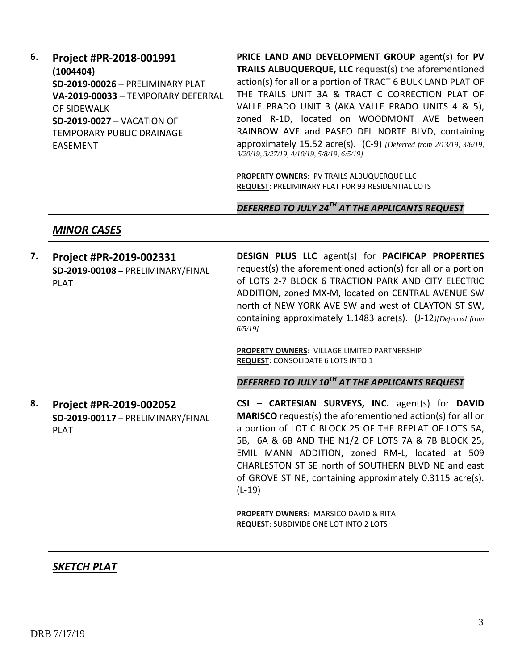**6. Project #PR-2018-001991 (1004404) SD-2019-00026** – PRELIMINARY PLAT **VA-2019-00033** – TEMPORARY DEFERRAL OF SIDEWALK **SD-2019-0027** – VACATION OF TEMPORARY PUBLIC DRAINAGE EASEMENT

**PRICE LAND AND DEVELOPMENT GROUP** agent(s) for **PV TRAILS ALBUQUERQUE, LLC** request(s) the aforementioned action(s) for all or a portion of TRACT 6 BULK LAND PLAT OF THE TRAILS UNIT 3A & TRACT C CORRECTION PLAT OF VALLE PRADO UNIT 3 (AKA VALLE PRADO UNITS 4 & 5), zoned R-1D, located on WOODMONT AVE between RAINBOW AVE and PASEO DEL NORTE BLVD, containing approximately 15.52 acre(s). (C-9) *[Deferred from 2/13/19, 3/6/19, 3/20/19, 3/27/19, 4/10/19, 5/8/19, 6/5/19]*

**PROPERTY OWNERS**: PV TRAILS ALBUQUERQUE LLC **REQUEST**: PRELIMINARY PLAT FOR 93 RESIDENTIAL LOTS

*DEFERRED TO JULY 24TH AT THE APPLICANTS REQUEST*

#### *MINOR CASES*

| 7. | Project #PR-2019-002331<br>SD-2019-00108 - PRELIMINARY/FINAL<br><b>PLAT</b> | <b>DESIGN PLUS LLC</b> agent(s) for <b>PACIFICAP PROPERTIES</b><br>request(s) the aforementioned action(s) for all or a portion<br>of LOTS 2-7 BLOCK 6 TRACTION PARK AND CITY ELECTRIC<br>ADDITION, zoned MX-M, located on CENTRAL AVENUE SW<br>north of NEW YORK AVE SW and west of CLAYTON ST SW,<br>containing approximately 1.1483 acre(s). (J-12) [Deferred from<br>$6/5/19$ ]                                   |
|----|-----------------------------------------------------------------------------|-----------------------------------------------------------------------------------------------------------------------------------------------------------------------------------------------------------------------------------------------------------------------------------------------------------------------------------------------------------------------------------------------------------------------|
|    |                                                                             | <b>PROPERTY OWNERS: VILLAGE LIMITED PARTNERSHIP</b><br><b>REQUEST: CONSOLIDATE 6 LOTS INTO 1</b>                                                                                                                                                                                                                                                                                                                      |
|    |                                                                             | DEFERRED TO JULY 10 <sup>TH</sup> AT THE APPLICANTS REQUEST                                                                                                                                                                                                                                                                                                                                                           |
| 8. | Project #PR-2019-002052<br>SD-2019-00117 - PRELIMINARY/FINAL<br><b>PLAT</b> | CSI - CARTESIAN SURVEYS, INC. agent(s) for DAVID<br><b>MARISCO</b> request(s) the aforementioned action(s) for all or<br>a portion of LOT C BLOCK 25 OF THE REPLAT OF LOTS 5A,<br>5B, 6A & 6B AND THE N1/2 OF LOTS 7A & 7B BLOCK 25,<br>EMIL MANN ADDITION, zoned RM-L, located at 509<br>CHARLESTON ST SE north of SOUTHERN BLVD NE and east<br>of GROVE ST NE, containing approximately 0.3115 acre(s).<br>$(L-19)$ |
|    |                                                                             | <b>PROPERTY OWNERS: MARSICO DAVID &amp; RITA</b><br><b>REQUEST: SUBDIVIDE ONE LOT INTO 2 LOTS</b>                                                                                                                                                                                                                                                                                                                     |

### *SKETCH PLAT*